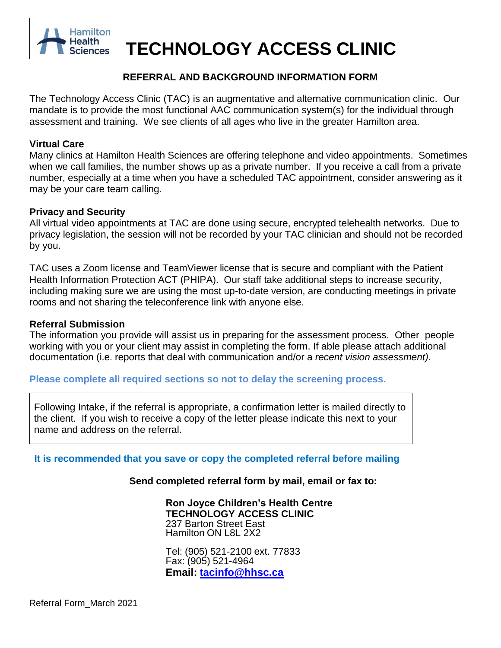

# **TECHNOLOGY ACCESS CLINIC**

## **REFERRAL AND BACKGROUND INFORMATION FORM**

The Technology Access Clinic (TAC) is an augmentative and alternative communication clinic. Our mandate is to provide the most functional AAC communication system(s) for the individual through assessment and training. We see clients of all ages who live in the greater Hamilton area.

## **Virtual Care**

Many clinics at Hamilton Health Sciences are offering telephone and video appointments. Sometimes when we call families, the number shows up as a private number. If you receive a call from a private number, especially at a time when you have a scheduled TAC appointment, consider answering as it may be your care team calling.

## **Privacy and Security**

All virtual video appointments at TAC are done using secure, encrypted telehealth networks. Due to privacy legislation, the session will not be recorded by your TAC clinician and should not be recorded by you.

TAC uses a Zoom license and TeamViewer license that is secure and compliant with the Patient Health Information Protection ACT (PHIPA). Our staff take additional steps to increase security, including making sure we are using the most up-to-date version, are conducting meetings in private rooms and not sharing the teleconference link with anyone else.

## **Referral Submission**

The information you provide will assist us in preparing for the assessment process. Other people working with you or your client may assist in completing the form. If able please attach additional documentation (i.e. reports that deal with communication and/or a *recent vision assessment).*

## **Please complete all required sections so not to delay the screening process.**

Following Intake, if the referral is appropriate, a confirmation letter is mailed directly to the client. If you wish to receive a copy of the letter please indicate this next to your name and address on the referral.

**It is recommended that you save or copy the completed referral before mailing**

## **Send completed referral form by mail, email or fax to:**

**Ron Joyce Children's Health Centre TECHNOLOGY ACCESS CLINIC** 237 Barton Street East Hamilton ON L8L 2X2

Tel: (905) 521-2100 ext. 77833 Fax: (905) 521-4964 **Email: [tacinfo@hhsc.ca](mailto:tacinfo@hhsc.ca)**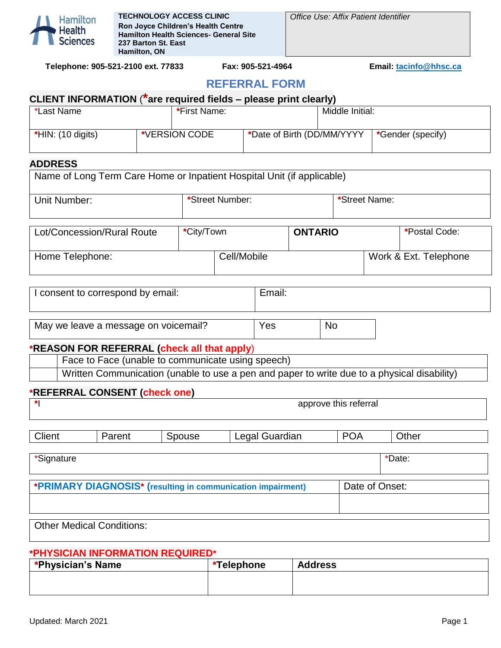

*Office Use: Affix Patient Identifier*

**Telephone: 905-521-2100 ext. 77833 Fax: 905-521-4964 Email: [tacinfo@hhsc.ca](mailto:tacinfo@hhsc.ca)**

## **REFERRAL FORM**

| CLIENT INFORMATION (*are required fields – please print clearly) |  |               |                            |                 |                   |  |  |  |  |
|------------------------------------------------------------------|--|---------------|----------------------------|-----------------|-------------------|--|--|--|--|
| *Last Name                                                       |  | *First Name:  |                            | Middle Initial: |                   |  |  |  |  |
| $*HIN: (10 digits)$                                              |  | *VERSION CODE | *Date of Birth (DD/MM/YYYY |                 | *Gender (specify) |  |  |  |  |

## **ADDRESS**

| Name of Long Term Care Home or Inpatient Hospital Unit (if applicable) |            |                 |                |               |                       |
|------------------------------------------------------------------------|------------|-----------------|----------------|---------------|-----------------------|
| Unit Number:                                                           |            | *Street Number: |                | *Street Name: |                       |
|                                                                        |            |                 |                |               |                       |
| Lot/Concession/Rural Route                                             | *City/Town |                 | <b>ONTARIO</b> |               | *Postal Code:         |
| Home Telephone:                                                        |            | Cell/Mobile     |                |               | Work & Ext. Telephone |

| I consent to correspond by email:    | Email: |    |  |
|--------------------------------------|--------|----|--|
|                                      |        |    |  |
| May we leave a message on voicemail? | Yes    | No |  |

## **\*REASON FOR REFERRAL (check all that apply**)

| Face to Face (unable to communicate using speech)                                           |
|---------------------------------------------------------------------------------------------|
| Written Communication (unable to use a pen and paper to write due to a physical disability) |

## **\*REFERRAL CONSENT (check one)**

| $\star$    |        |        |                                                             | approve this referral |        |  |
|------------|--------|--------|-------------------------------------------------------------|-----------------------|--------|--|
| Client     | Parent | Spouse | Legal Guardian                                              | <b>POA</b>            | Other  |  |
| *Signature |        |        |                                                             |                       | *Date: |  |
|            |        |        | *PRIMARY DIAGNOSIS* (resulting in communication impairment) | Date of Onset:        |        |  |

Other Medical Conditions:

## **\*PHYSICIAN INFORMATION REQUIRED\***

| <b>*Physician's Name</b> | *Telephone | <b>Address</b> |
|--------------------------|------------|----------------|
|                          |            |                |
|                          |            |                |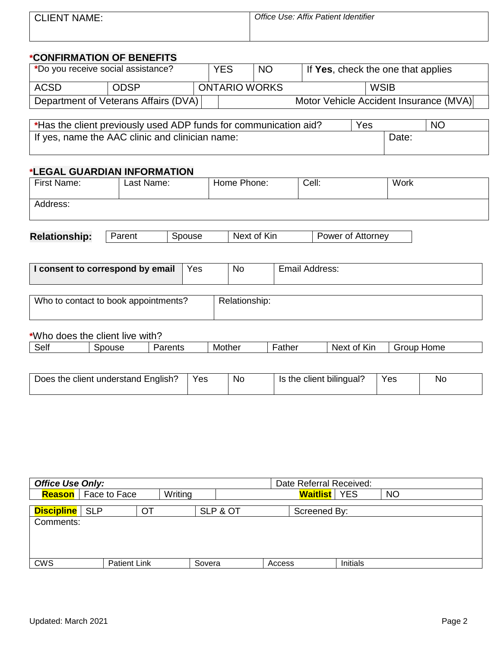| <b>CLIENT NAME:</b> | Office Use: Affix Patient Identifier |
|---------------------|--------------------------------------|
|                     |                                      |

## **\*CONFIRMATION OF BENEFITS**

| *Do you receive social assistance? |                                      | <b>YES</b>           | <b>NO</b> | If Yes, check the one that applies     |
|------------------------------------|--------------------------------------|----------------------|-----------|----------------------------------------|
| ACSD                               | <b>ODSP</b>                          | <b>ONTARIO WORKS</b> |           | <b>WSIB</b>                            |
|                                    | Department of Veterans Affairs (DVA) |                      |           | Motor Vehicle Accident Insurance (MVA) |

| *Has the client previously used ADP funds for communication aid? | Yes |       | <b>NC</b> |
|------------------------------------------------------------------|-----|-------|-----------|
| If yes, name the AAC clinic and clinician name:                  |     | Date: |           |
|                                                                  |     |       |           |

## **\*LEGAL GUARDIAN INFORMATION**

| First Name:                          | Last Name: |        | Home Phone:   |                | Cell: | <b>Work</b>       |  |
|--------------------------------------|------------|--------|---------------|----------------|-------|-------------------|--|
| Address:                             |            |        |               |                |       |                   |  |
| <b>Relationship:</b>                 | Parent     | Spouse | Next of Kin   |                |       | Power of Attorney |  |
| I consent to correspond by email     |            | Yes    | No            | Email Address: |       |                   |  |
| Who to contact to book appointments? |            |        | Relationship: |                |       |                   |  |

## **\***Who does the client live with?

| .<br>_<br>Parents<br>.her<br>lome<br>Next<br>Sell<br>.<br>$-10-1$<br>วนรด<br>Kır<br>.<br>Mo:<br>Ωt<br>ather<br>GIOUL<br>៶ͻເ |
|-----------------------------------------------------------------------------------------------------------------------------|
|-----------------------------------------------------------------------------------------------------------------------------|

| Does the client understand English? | Yes | No | Is the client bilingual? | Yes | Nc |
|-------------------------------------|-----|----|--------------------------|-----|----|

| <b>Office Use Only:</b> |                              |  |         |          | Date Referral Received: |          |           |  |  |
|-------------------------|------------------------------|--|---------|----------|-------------------------|----------|-----------|--|--|
|                         | <b>Reason</b>   Face to Face |  | Writing |          | <b>Waitlist</b> YES     |          | <b>NO</b> |  |  |
| <b>Discipline</b>   SLP |                              |  |         | SLP & OT | Screened By:            |          |           |  |  |
| Comments:               |                              |  |         |          |                         |          |           |  |  |
|                         |                              |  |         |          |                         |          |           |  |  |
|                         |                              |  |         |          |                         |          |           |  |  |
| <b>CWS</b>              | <b>Patient Link</b>          |  | Sovera  |          | Access                  | Initials |           |  |  |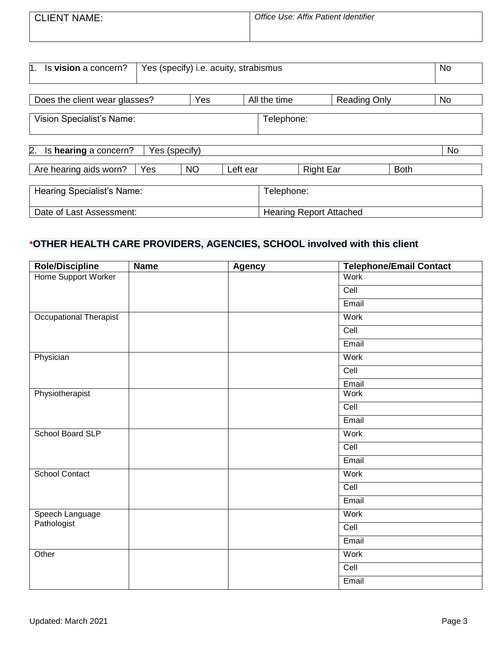| <b>CLIENT NAME:</b> | Office Use: Affix Patient Identifier |
|---------------------|--------------------------------------|
|                     |                                      |

| Is vision a concern?<br>h.<br>Yes (specify) i.e. acuity, strabismus |               |              |          |                                |                  |           |             | No |           |
|---------------------------------------------------------------------|---------------|--------------|----------|--------------------------------|------------------|-----------|-------------|----|-----------|
|                                                                     |               | Yes          |          |                                |                  |           |             |    |           |
| Does the client wear glasses?                                       |               | All the time |          | <b>Reading Only</b>            |                  | <b>No</b> |             |    |           |
| <b>Vision Specialist's Name:</b>                                    |               |              |          |                                | Telephone:       |           |             |    |           |
| 2.<br>Is hearing a concern?                                         | Yes (specify) |              |          |                                |                  |           |             |    | <b>No</b> |
| Are hearing aids worn?                                              | Yes           | <b>NO</b>    | Left ear |                                | <b>Right Ear</b> |           | <b>Both</b> |    |           |
| Hearing Specialist's Name:                                          |               |              |          | Telephone:                     |                  |           |             |    |           |
| Date of Last Assessment:                                            |               |              |          | <b>Hearing Report Attached</b> |                  |           |             |    |           |

## **\*OTHER HEALTH CARE PROVIDERS, AGENCIES, SCHOOL involved with this client**

| <b>Role/Discipline</b>        | <b>Name</b> | <b>Agency</b> | Telephone/Email Contact |
|-------------------------------|-------------|---------------|-------------------------|
| <b>Home Support Worker</b>    |             |               | <b>Work</b>             |
|                               |             |               | Cell                    |
|                               |             |               | Email                   |
| <b>Occupational Therapist</b> |             |               | Work                    |
|                               |             |               | Cell                    |
|                               |             |               | Email                   |
| Physician                     |             |               | Work                    |
|                               |             |               | Cell                    |
|                               |             |               | Email                   |
| Physiotherapist               |             |               | Work                    |
|                               |             |               | Cell                    |
|                               |             |               | Email                   |
| School Board SLP              |             |               | Work                    |
|                               |             |               | Cell                    |
|                               |             |               | Email                   |
| <b>School Contact</b>         |             |               | <b>Work</b>             |
|                               |             |               | Cell                    |
|                               |             |               | Email                   |
| Speech Language               |             |               | Work                    |
| Pathologist                   |             |               | Cell                    |
|                               |             |               | Email                   |
| Other                         |             |               | Work                    |
|                               |             |               | Cell                    |
|                               |             |               | Email                   |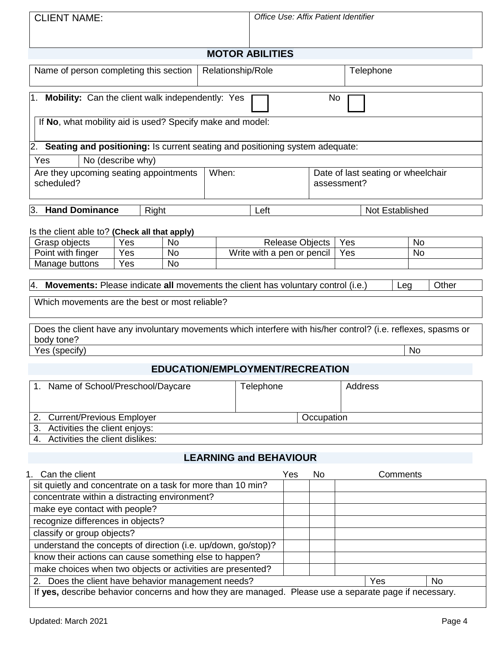| <b>CLIENT NAME:</b>                                                                                                          |                   |                        |       | Office Use: Affix Patient Identifier |                 |            |                                      |                 |           |       |
|------------------------------------------------------------------------------------------------------------------------------|-------------------|------------------------|-------|--------------------------------------|-----------------|------------|--------------------------------------|-----------------|-----------|-------|
|                                                                                                                              |                   |                        |       |                                      |                 |            |                                      |                 |           |       |
|                                                                                                                              |                   |                        |       |                                      |                 |            |                                      |                 |           |       |
|                                                                                                                              |                   |                        |       | <b>MOTOR ABILITIES</b>               |                 |            |                                      |                 |           |       |
| Name of person completing this section                                                                                       |                   |                        |       | Relationship/Role                    |                 |            | Telephone                            |                 |           |       |
|                                                                                                                              |                   |                        |       |                                      |                 |            |                                      |                 |           |       |
| Mobility: Can the client walk independently: Yes<br>l1.                                                                      |                   |                        |       |                                      |                 | No.        |                                      |                 |           |       |
|                                                                                                                              |                   |                        |       |                                      |                 |            |                                      |                 |           |       |
| If No, what mobility aid is used? Specify make and model:                                                                    |                   |                        |       |                                      |                 |            |                                      |                 |           |       |
|                                                                                                                              |                   |                        |       |                                      |                 |            |                                      |                 |           |       |
| 2. Seating and positioning: Is current seating and positioning system adequate:                                              |                   |                        |       |                                      |                 |            |                                      |                 |           |       |
| Yes                                                                                                                          | No (describe why) |                        |       |                                      |                 |            |                                      |                 |           |       |
| Are they upcoming seating appointments                                                                                       |                   |                        | When: |                                      |                 |            | Date of last seating or wheelchair   |                 |           |       |
| scheduled?                                                                                                                   |                   |                        |       |                                      | assessment?     |            |                                      |                 |           |       |
|                                                                                                                              |                   |                        |       |                                      |                 |            |                                      |                 |           |       |
| 3. Hand Dominance                                                                                                            | Right             |                        |       | Left                                 |                 |            |                                      | Not Established |           |       |
|                                                                                                                              |                   |                        |       |                                      |                 |            |                                      |                 |           |       |
| Is the client able to? (Check all that apply)                                                                                |                   |                        |       |                                      |                 |            |                                      |                 |           |       |
| Grasp objects                                                                                                                | Yes<br>Yes        | <b>No</b><br><b>No</b> |       |                                      | Release Objects |            | Yes<br><b>No</b><br>Yes<br><b>No</b> |                 |           |       |
| Point with finger<br>Manage buttons                                                                                          | Yes               | <b>No</b>              |       | Write with a pen or pencil           |                 |            |                                      |                 |           |       |
|                                                                                                                              |                   |                        |       |                                      |                 |            |                                      |                 |           |       |
| Movements: Please indicate all movements the client has voluntary control (i.e.)                                             |                   |                        |       |                                      |                 |            |                                      | Leg             |           | Other |
| Which movements are the best or most reliable?                                                                               |                   |                        |       |                                      |                 |            |                                      |                 |           |       |
|                                                                                                                              |                   |                        |       |                                      |                 |            |                                      |                 |           |       |
|                                                                                                                              |                   |                        |       |                                      |                 |            |                                      |                 |           |       |
| Does the client have any involuntary movements which interfere with his/her control? (i.e. reflexes, spasms or<br>body tone? |                   |                        |       |                                      |                 |            |                                      |                 |           |       |
| Yes (specify)                                                                                                                |                   |                        |       |                                      |                 |            |                                      |                 | <b>No</b> |       |
|                                                                                                                              |                   |                        |       |                                      |                 |            |                                      |                 |           |       |
|                                                                                                                              |                   |                        |       | EDUCATION/EMPLOYMENT/RECREATION      |                 |            |                                      |                 |           |       |
| 1. Name of School/Preschool/Daycare                                                                                          |                   |                        |       | Telephone                            |                 |            | Address                              |                 |           |       |
|                                                                                                                              |                   |                        |       |                                      |                 |            |                                      |                 |           |       |
|                                                                                                                              |                   |                        |       |                                      |                 |            |                                      |                 |           |       |
| <b>Current/Previous Employer</b><br>$\mathbf{2}$<br>3.<br>Activities the client enjoys:                                      |                   |                        |       |                                      |                 | Occupation |                                      |                 |           |       |
| Activities the client dislikes:                                                                                              |                   |                        |       |                                      |                 |            |                                      |                 |           |       |
|                                                                                                                              |                   |                        |       |                                      |                 |            |                                      |                 |           |       |
|                                                                                                                              |                   |                        |       | <b>LEARNING and BEHAVIOUR</b>        |                 |            |                                      |                 |           |       |
| 1. Can the client                                                                                                            |                   |                        |       |                                      | Yes             | No         |                                      | Comments        |           |       |
| sit quietly and concentrate on a task for more than 10 min?                                                                  |                   |                        |       |                                      |                 |            |                                      |                 |           |       |
|                                                                                                                              |                   |                        |       |                                      |                 |            |                                      |                 |           |       |

| concentrate within a distracting environment?                                                         |     |           |
|-------------------------------------------------------------------------------------------------------|-----|-----------|
| make eye contact with people?                                                                         |     |           |
| recognize differences in objects?                                                                     |     |           |
| classify or group objects?                                                                            |     |           |
| understand the concepts of direction (i.e. up/down, go/stop)?                                         |     |           |
| know their actions can cause something else to happen?                                                |     |           |
| make choices when two objects or activities are presented?                                            |     |           |
| 2. Does the client have behavior management needs?                                                    | Yes | <b>No</b> |
| If yes, describe behavior concerns and how they are managed. Please use a separate page if necessary. |     |           |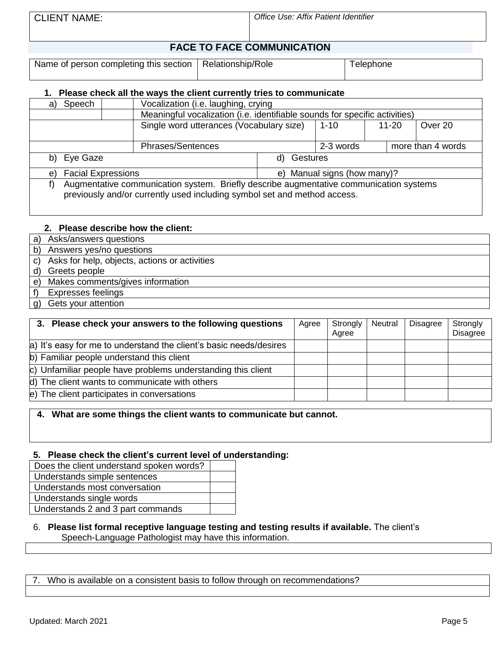## **FACE TO FACE COMMUNICATION**

Name of person completing this section  $\vert$  Relationship/Role  $\vert$  Telephone

#### **1. Please check all the ways the client currently tries to communicate**

| Speech<br>a)                    | Vocalization (i.e. laughing, crying                                                                                                                                |             |                             |  |                      |                   |  |  |  |  |
|---------------------------------|--------------------------------------------------------------------------------------------------------------------------------------------------------------------|-------------|-----------------------------|--|----------------------|-------------------|--|--|--|--|
|                                 | Meaningful vocalization (i.e. identifiable sounds for specific activities)                                                                                         |             |                             |  |                      |                   |  |  |  |  |
|                                 | Single word utterances (Vocabulary size)                                                                                                                           |             | $1 - 10$                    |  | Over 20<br>$11 - 20$ |                   |  |  |  |  |
|                                 | <b>Phrases/Sentences</b>                                                                                                                                           |             | 2-3 words                   |  |                      | more than 4 words |  |  |  |  |
| b) Eye Gaze                     |                                                                                                                                                                    | d) Gestures |                             |  |                      |                   |  |  |  |  |
| <b>Facial Expressions</b><br>e) |                                                                                                                                                                    |             | e) Manual signs (how many)? |  |                      |                   |  |  |  |  |
| f)                              | Augmentative communication system. Briefly describe augmentative communication systems<br>previously and/or currently used including symbol set and method access. |             |                             |  |                      |                   |  |  |  |  |

#### **2. Please describe how the client:**

- a) Asks/answers questions b) Answers yes/no questions c) Asks for help, objects, actions or activities d) Greets people e) Makes comments/gives information f) Expresses feelings
- g) Gets your attention

| 3. Please check your answers to the following questions            | Agree | Strongly<br>Agree | Neutral | <b>Disagree</b> | Strongly<br><b>Disagree</b> |
|--------------------------------------------------------------------|-------|-------------------|---------|-----------------|-----------------------------|
| a) It's easy for me to understand the client's basic needs/desires |       |                   |         |                 |                             |
| b) Familiar people understand this client                          |       |                   |         |                 |                             |
| c) Unfamiliar people have problems understanding this client       |       |                   |         |                 |                             |
| d) The client wants to communicate with others                     |       |                   |         |                 |                             |
| e) The client participates in conversations                        |       |                   |         |                 |                             |

#### **4. What are some things the client wants to communicate but cannot.**

#### **5. Please check the client's current level of understanding:**

Does the client understand spoken words? Understands simple sentences Understands most conversation Understands single words Understands 2 and 3 part commands

#### 6. **Please list formal receptive language testing and testing results if available.** The client's Speech-Language Pathologist may have this information.

7. Who is available on a consistent basis to follow through on recommendations?